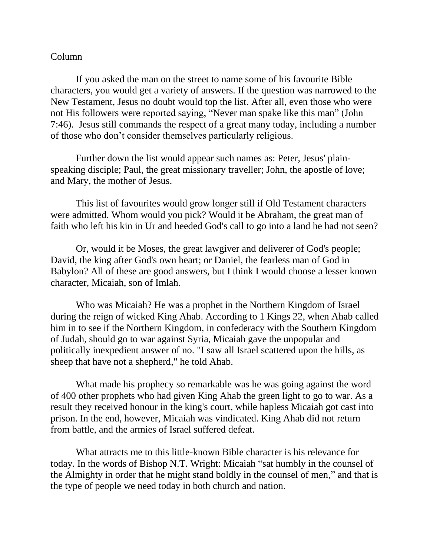## Column

If you asked the man on the street to name some of his favourite Bible characters, you would get a variety of answers. If the question was narrowed to the New Testament, Jesus no doubt would top the list. After all, even those who were not His followers were reported saying, "Never man spake like this man" (John 7:46). Jesus still commands the respect of a great many today, including a number of those who don't consider themselves particularly religious.

Further down the list would appear such names as: Peter, Jesus' plainspeaking disciple; Paul, the great missionary traveller; John, the apostle of love; and Mary, the mother of Jesus.

This list of favourites would grow longer still if Old Testament characters were admitted. Whom would you pick? Would it be Abraham, the great man of faith who left his kin in Ur and heeded God's call to go into a land he had not seen?

Or, would it be Moses, the great lawgiver and deliverer of God's people; David, the king after God's own heart; or Daniel, the fearless man of God in Babylon? All of these are good answers, but I think I would choose a lesser known character, Micaiah, son of Imlah.

Who was Micaiah? He was a prophet in the Northern Kingdom of Israel during the reign of wicked King Ahab. According to 1 Kings 22, when Ahab called him in to see if the Northern Kingdom, in confederacy with the Southern Kingdom of Judah, should go to war against Syria, Micaiah gave the unpopular and politically inexpedient answer of no. "I saw all Israel scattered upon the hills, as sheep that have not a shepherd," he told Ahab.

What made his prophecy so remarkable was he was going against the word of 400 other prophets who had given King Ahab the green light to go to war. As a result they received honour in the king's court, while hapless Micaiah got cast into prison. In the end, however, Micaiah was vindicated. King Ahab did not return from battle, and the armies of Israel suffered defeat.

What attracts me to this little-known Bible character is his relevance for today. In the words of Bishop N.T. Wright: Micaiah "sat humbly in the counsel of the Almighty in order that he might stand boldly in the counsel of men," and that is the type of people we need today in both church and nation.